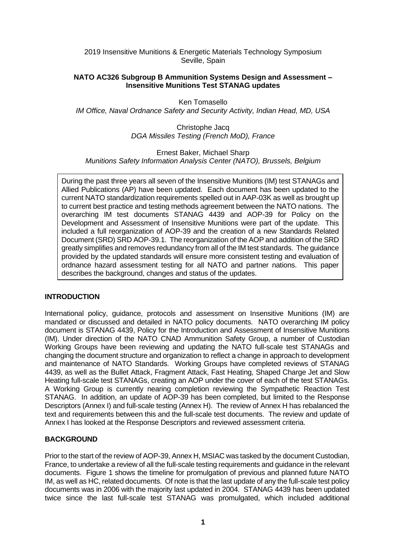2019 Insensitive Munitions & Energetic Materials Technology Symposium Seville, Spain

#### **NATO AC326 Subgroup B Ammunition Systems Design and Assessment – Insensitive Munitions Test STANAG updates**

Ken Tomasello *IM Office, Naval Ordnance Safety and Security Activity, Indian Head, MD, USA*

> Christophe Jacq *DGA Missiles Testing (French MoD), France*

Ernest Baker, Michael Sharp *Munitions Safety Information Analysis Center (NATO), Brussels, Belgium*

During the past three years all seven of the Insensitive Munitions (IM) test STANAGs and Allied Publications (AP) have been updated. Each document has been updated to the current NATO standardization requirements spelled out in AAP-03K as well as brought up to current best practice and testing methods agreement between the NATO nations. The overarching IM test documents STANAG 4439 and AOP-39 for Policy on the Development and Assessment of Insensitive Munitions were part of the update. This included a full reorganization of AOP-39 and the creation of a new Standards Related Document (SRD) SRD AOP-39.1. The reorganization of the AOP and addition of the SRD greatly simplifies and removes redundancy from all of the IM test standards. The guidance provided by the updated standards will ensure more consistent testing and evaluation of ordnance hazard assessment testing for all NATO and partner nations. This paper describes the background, changes and status of the updates.

## **INTRODUCTION**

International policy, guidance, protocols and assessment on Insensitive Munitions (IM) are mandated or discussed and detailed in NATO policy documents. NATO overarching IM policy document is STANAG 4439, Policy for the Introduction and Assessment of Insensitive Munitions (IM). Under direction of the NATO CNAD Ammunition Safety Group, a number of Custodian Working Groups have been reviewing and updating the NATO full-scale test STANAGs and changing the document structure and organization to reflect a change in approach to development and maintenance of NATO Standards. Working Groups have completed reviews of STANAG 4439, as well as the Bullet Attack, Fragment Attack, Fast Heating, Shaped Charge Jet and Slow Heating full-scale test STANAGs, creating an AOP under the cover of each of the test STANAGs. A Working Group is currently nearing completion reviewing the Sympathetic Reaction Test STANAG. In addition, an update of AOP-39 has been completed, but limited to the Response Descriptors (Annex I) and full-scale testing (Annex H). The review of Annex H has rebalanced the text and requirements between this and the full-scale test documents. The review and update of Annex I has looked at the Response Descriptors and reviewed assessment criteria.

## **BACKGROUND**

Prior to the start of the review of AOP-39, Annex H, MSIAC was tasked by the document Custodian, France, to undertake a review of all the full-scale testing requirements and guidance in the relevant documents. Figure 1 shows the timeline for promulgation of previous and planned future NATO IM, as well as HC, related documents. Of note is that the last update of any the full-scale test policy documents was in 2006 with the majority last updated in 2004. STANAG 4439 has been updated twice since the last full-scale test STANAG was promulgated, which included additional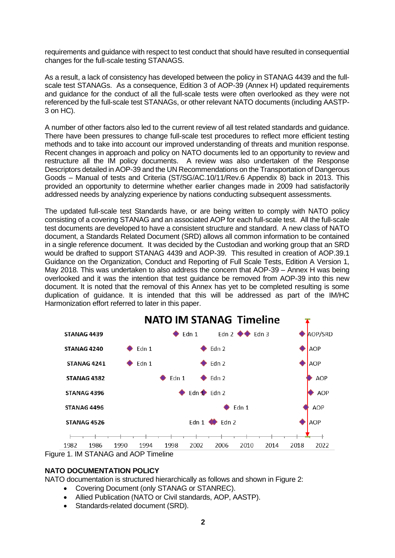requirements and guidance with respect to test conduct that should have resulted in consequential changes for the full-scale testing STANAGS.

As a result, a lack of consistency has developed between the policy in STANAG 4439 and the fullscale test STANAGs. As a consequence, Edition 3 of AOP-39 (Annex H) updated requirements and guidance for the conduct of all the full-scale tests were often overlooked as they were not referenced by the full-scale test STANAGs, or other relevant NATO documents (including AASTP-3 on HC).

A number of other factors also led to the current review of all test related standards and guidance. There have been pressures to change full-scale test procedures to reflect more efficient testing methods and to take into account our improved understanding of threats and munition response. Recent changes in approach and policy on NATO documents led to an opportunity to review and restructure all the IM policy documents. A review was also undertaken of the Response Descriptors detailed in AOP-39 and the UN Recommendations on the Transportation of Dangerous Goods – Manual of tests and Criteria (ST/SG/AC.10/11/Rev.6 Appendix 8) back in 2013. This provided an opportunity to determine whether earlier changes made in 2009 had satisfactorily addressed needs by analyzing experience by nations conducting subsequent assessments.

The updated full-scale test Standards have, or are being written to comply with NATO policy consisting of a covering STANAG and an associated AOP for each full-scale test. All the full-scale test documents are developed to have a consistent structure and standard. A new class of NATO document, a Standards Related Document (SRD) allows all common information to be contained in a single reference document. It was decided by the Custodian and working group that an SRD would be drafted to support STANAG 4439 and AOP-39. This resulted in creation of AOP.39.1 Guidance on the Organization, Conduct and Reporting of Full Scale Tests, Edition A Version 1, May 2018. This was undertaken to also address the concern that AOP-39 – Annex H was being overlooked and it was the intention that test guidance be removed from AOP-39 into this new document. It is noted that the removal of this Annex has yet to be completed resulting is some duplication of guidance. It is intended that this will be addressed as part of the IM/HC Harmonization effort referred to later in this paper.



## **NATO DOCUMENTATION POLICY**

NATO documentation is structured hierarchically as follows and shown in Figure 2:

- Covering Document (only STANAG or STANREC).
- Allied Publication (NATO or Civil standards, AOP, AASTP).
- Standards-related document (SRD).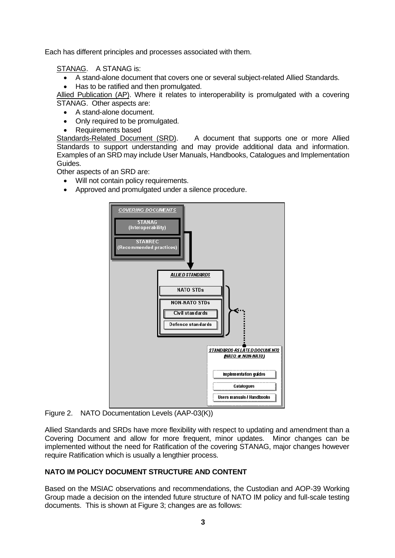Each has different principles and processes associated with them.

STANAG. A STANAG is:

- A stand-alone document that covers one or several subject-related Allied Standards.
- Has to be ratified and then promulgated.

Allied Publication (AP). Where it relates to interoperability is promulgated with a covering STANAG. Other aspects are:

• A stand-alone document.

- Only required to be promulgated.
- Requirements based

Standards-Related Document (SRD). A document that supports one or more Allied Standards to support understanding and may provide additional data and information. Examples of an SRD may include User Manuals, Handbooks, Catalogues and Implementation Guides.

Other aspects of an SRD are:

- Will not contain policy requirements.
- Approved and promulgated under a silence procedure.



Figure 2. NATO Documentation Levels (AAP-03(K))

Allied Standards and SRDs have more flexibility with respect to updating and amendment than a Covering Document and allow for more frequent, minor updates. Minor changes can be implemented without the need for Ratification of the covering STANAG, major changes however require Ratification which is usually a lengthier process.

## **NATO IM POLICY DOCUMENT STRUCTURE AND CONTENT**

Based on the MSIAC observations and recommendations, the Custodian and AOP-39 Working Group made a decision on the intended future structure of NATO IM policy and full-scale testing documents. This is shown at Figure 3; changes are as follows: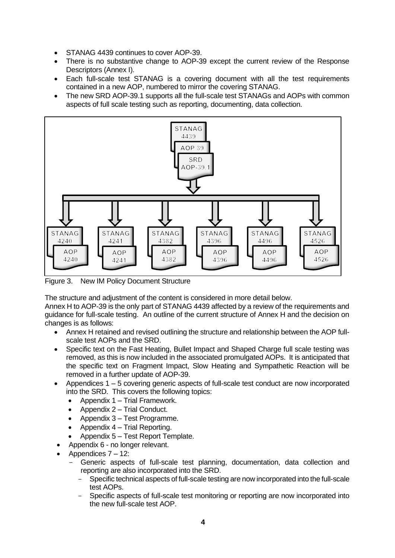- STANAG 4439 continues to cover AOP-39.
- There is no substantive change to AOP-39 except the current review of the Response Descriptors (Annex I).
- Each full-scale test STANAG is a covering document with all the test requirements contained in a new AOP, numbered to mirror the covering STANAG.
- The new SRD AOP-39.1 supports all the full-scale test STANAGs and AOPs with common aspects of full scale testing such as reporting, documenting, data collection.



Figure 3. New IM Policy Document Structure

The structure and adjustment of the content is considered in more detail below.

Annex H to AOP-39 is the only part of STANAG 4439 affected by a review of the requirements and guidance for full-scale testing. An outline of the current structure of Annex H and the decision on changes is as follows:

- Annex H retained and revised outlining the structure and relationship between the AOP fullscale test AOPs and the SRD.
- Specific text on the Fast Heating, Bullet Impact and Shaped Charge full scale testing was removed, as this is now included in the associated promulgated AOPs. It is anticipated that the specific text on Fragment Impact, Slow Heating and Sympathetic Reaction will be removed in a further update of AOP-39.
- Appendices 1 5 covering generic aspects of full-scale test conduct are now incorporated into the SRD. This covers the following topics:
	- Appendix 1 Trial Framework.
	- Appendix 2 Trial Conduct.
	- Appendix 3 Test Programme.
	- Appendix 4 Trial Reporting.
	- Appendix 5 Test Report Template.
- Appendix 6 no longer relevant.
- Appendices 7 12:
	- Generic aspects of full-scale test planning, documentation, data collection and reporting are also incorporated into the SRD.
		- Specific technical aspects of full-scale testing are now incorporated into the full-scale test AOPs.
		- Specific aspects of full-scale test monitoring or reporting are now incorporated into the new full-scale test AOP.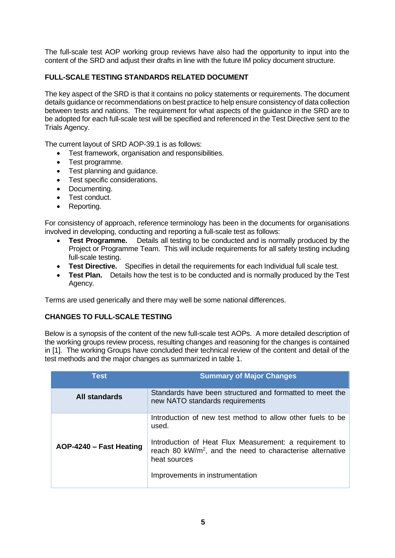The full-scale test AOP working group reviews have also had the opportunity to input into the content of the SRD and adjust their drafts in line with the future IM policy document structure.

# **FULL-SCALE TESTING STANDARDS RELATED DOCUMENT**

The key aspect of the SRD is that it contains no policy statements or requirements. The document details guidance or recommendations on best practice to help ensure consistency of data collection between tests and nations. The requirement for what aspects of the guidance in the SRD are to be adopted for each full-scale test will be specified and referenced in the Test Directive sent to the Trials Agency.

The current layout of SRD AOP-39.1 is as follows:

- Test framework, organisation and responsibilities.
- Test programme.
- Test planning and guidance.
- Test specific considerations.
- Documenting.
- Test conduct.
- Reporting.

For consistency of approach, reference terminology has been in the documents for organisations involved in developing, conducting and reporting a full-scale test as follows:

- **Test Programme.** Details all testing to be conducted and is normally produced by the Project or Programme Team. This will include requirements for all safety testing including full-scale testing.
- **Test Directive.** Specifies in detail the requirements for each Individual full scale test.
- **Test Plan.** Details how the test is to be conducted and is normally produced by the Test Agency.

Terms are used generically and there may well be some national differences.

## **CHANGES TO FULL-SCALE TESTING**

Below is a synopsis of the content of the new full-scale test AOPs. A more detailed description of the working groups review process, resulting changes and reasoning for the changes is contained in [1]. The working Groups have concluded their technical review of the content and detail of the test methods and the major changes as summarized in table 1.

| <b>Test</b>             | <b>Summary of Major Changes</b>                                                                                                                  |
|-------------------------|--------------------------------------------------------------------------------------------------------------------------------------------------|
| All standards           | Standards have been structured and formatted to meet the<br>new NATO standards requirements                                                      |
|                         | Introduction of new test method to allow other fuels to be<br>used.                                                                              |
| AOP-4240 - Fast Heating | Introduction of Heat Flux Measurement: a requirement to<br>reach 80 kW/m <sup>2</sup> , and the need to characterise alternative<br>heat sources |
|                         | Improvements in instrumentation                                                                                                                  |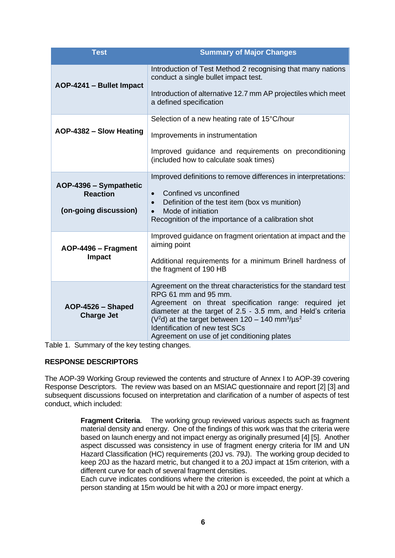| <b>Test</b>                            | <b>Summary of Major Changes</b>                                                                                                                                                                                                                    |
|----------------------------------------|----------------------------------------------------------------------------------------------------------------------------------------------------------------------------------------------------------------------------------------------------|
| AOP-4241 - Bullet Impact               | Introduction of Test Method 2 recognising that many nations<br>conduct a single bullet impact test.                                                                                                                                                |
|                                        | Introduction of alternative 12.7 mm AP projectiles which meet<br>a defined specification                                                                                                                                                           |
| AOP-4382 - Slow Heating                | Selection of a new heating rate of 15°C/hour                                                                                                                                                                                                       |
|                                        | Improvements in instrumentation                                                                                                                                                                                                                    |
|                                        | Improved guidance and requirements on preconditioning<br>(included how to calculate soak times)                                                                                                                                                    |
| AOP-4396 - Sympathetic                 | Improved definitions to remove differences in interpretations:                                                                                                                                                                                     |
| <b>Reaction</b>                        | Confined vs unconfined<br>Definition of the test item (box vs munition)<br>$\bullet$                                                                                                                                                               |
| (on-going discussion)                  | Mode of initiation<br>$\bullet$<br>Recognition of the importance of a calibration shot                                                                                                                                                             |
| AOP-4496 - Fragment<br>Impact          | Improved guidance on fragment orientation at impact and the<br>aiming point                                                                                                                                                                        |
|                                        | Additional requirements for a minimum Brinell hardness of<br>the fragment of 190 HB                                                                                                                                                                |
|                                        | Agreement on the threat characteristics for the standard test<br>RPG 61 mm and 95 mm.                                                                                                                                                              |
| AOP-4526 - Shaped<br><b>Charge Jet</b> | Agreement on threat specification range: required jet<br>diameter at the target of 2.5 - 3.5 mm, and Held's criteria<br>( $V^2$ d) at the target between 120 - 140 mm <sup>3</sup> / $\mu$ s <sup>2</sup><br><b>Identification of new test SCs</b> |
|                                        | Agreement on use of jet conditioning plates                                                                                                                                                                                                        |

Table 1. Summary of the key testing changes.

## **RESPONSE DESCRIPTORS**

The AOP-39 Working Group reviewed the contents and structure of Annex I to AOP-39 covering Response Descriptors. The review was based on an MSIAC questionnaire and report [2] [3] and subsequent discussions focused on interpretation and clarification of a number of aspects of test conduct, which included:

> **Fragment Criteria**. The working group reviewed various aspects such as fragment material density and energy. One of the findings of this work was that the criteria were based on launch energy and not impact energy as originally presumed [4] [5]. Another aspect discussed was consistency in use of fragment energy criteria for IM and UN Hazard Classification (HC) requirements (20J vs. 79J). The working group decided to keep 20J as the hazard metric, but changed it to a 20J impact at 15m criterion, with a different curve for each of several fragment densities.

> Each curve indicates conditions where the criterion is exceeded, the point at which a person standing at 15m would be hit with a 20J or more impact energy.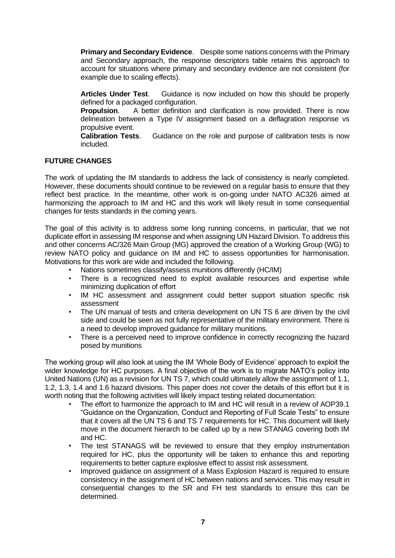**Primary and Secondary Evidence**. Despite some nations concerns with the Primary and Secondary approach, the response descriptors table retains this approach to account for situations where primary and secondary evidence are not consistent (for example due to scaling effects).

**Articles Under Test**. Guidance is now included on how this should be properly defined for a packaged configuration.

**Propulsion.** A better definition and clarification is now provided. There is now delineation between a Type IV assignment based on a deflagration response vs propulsive event.

**Calibration Tests**. Guidance on the role and purpose of calibration tests is now included.

## **FUTURE CHANGES**

The work of updating the IM standards to address the lack of consistency is nearly completed. However, these documents should continue to be reviewed on a regular basis to ensure that they reflect best practice. In the meantime, other work is on-going under NATO AC326 aimed at harmonizing the approach to IM and HC and this work will likely result in some consequential changes for tests standards in the coming years.

The goal of this activity is to address some long running concerns, in particular, that we not duplicate effort in assessing IM response and when assigning UN Hazard Division. To address this and other concerns AC/326 Main Group (MG) approved the creation of a Working Group (WG) to review NATO policy and guidance on IM and HC to assess opportunities for harmonisation. Motivations for this work are wide and included the following.

- Nations sometimes classify/assess munitions differently (HC/IM)
- There is a recognized need to exploit available resources and expertise while minimizing duplication of effort
- IM HC assessment and assignment could better support situation specific risk assessment
- The UN manual of tests and criteria development on UN TS 6 are driven by the civil side and could be seen as not fully representative of the military environment. There is a need to develop improved guidance for military munitions.
- There is a perceived need to improve confidence in correctly recognizing the hazard posed by munitions

The working group will also look at using the IM 'Whole Body of Evidence' approach to exploit the wider knowledge for HC purposes. A final objective of the work is to migrate NATO's policy into United Nations (UN) as a revision for UN TS 7, which could ultimately allow the assignment of 1.1, 1.2, 1.3, 1.4 and 1.6 hazard divisions. This paper does not cover the details of this effort but it is worth noting that the following activities will likely impact testing related documentation:

- The effort to harmonize the approach to IM and HC will result in a review of AOP39.1 "Guidance on the Organization, Conduct and Reporting of Full Scale Tests" to ensure that it covers all the UN TS 6 and TS 7 requirements for HC. This document will likely move in the document hierarch to be called up by a new STANAG covering both IM and HC.
- The test STANAGS will be reviewed to ensure that they employ instrumentation required for HC, plus the opportunity will be taken to enhance this and reporting requirements to better capture explosive effect to assist risk assessment.
- Improved guidance on assignment of a Mass Explosion Hazard is required to ensure consistency in the assignment of HC between nations and services. This may result in consequential changes to the SR and FH test standards to ensure this can be determined.